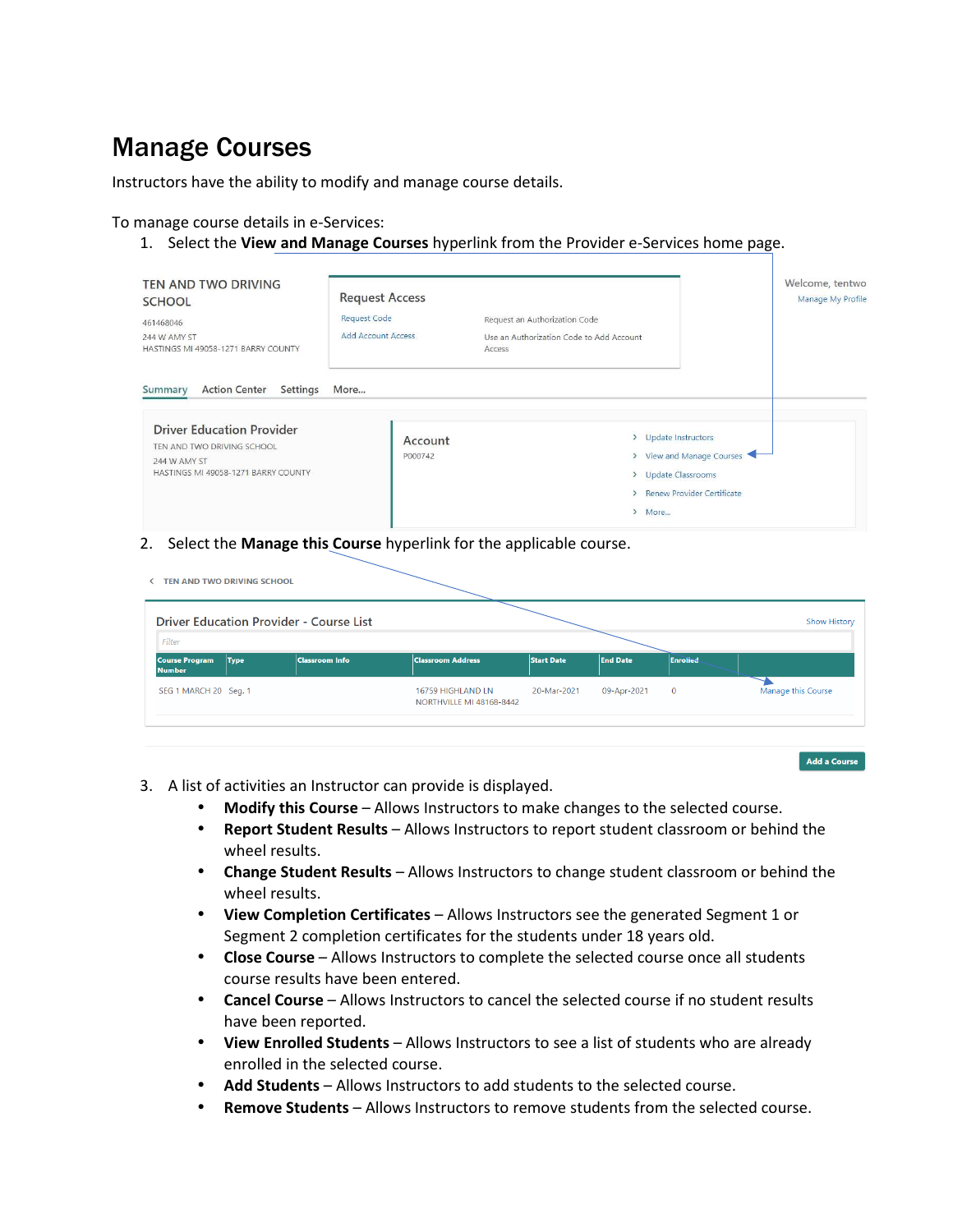# Manage Courses

Instructors have the ability to modify and manage course details.

#### To manage course details in e-Services:

1. Select the **View and Manage Courses** hyperlink from the Provider e-Services home page.

| TEN AND TWO DRIVING<br><b>SCHOOL</b><br>461468046<br>244 W AMY ST<br>HASTINGS MI 49058-1271 BARRY COUNTY                                                             | <b>Request Access</b><br><b>Request Code</b><br><b>Add Account Access</b> | Request an Authorization Code<br>Use an Authorization Code to Add Account<br>Access |                                                           |
|----------------------------------------------------------------------------------------------------------------------------------------------------------------------|---------------------------------------------------------------------------|-------------------------------------------------------------------------------------|-----------------------------------------------------------|
| <b>Action Center</b><br>Settings<br>Summary<br><b>Driver Education Provider</b><br>TEN AND TWO DRIVING SCHOOL<br>244 W AMY ST<br>HASTINGS MI 49058-1271 BARRY COUNTY | More<br>Account<br>P000742                                                | > Update Instructors<br>> Update Classrooms<br>> More                               | > View and Manage Courses<br>> Renew Provider Certificate |

2. Select the **Manage this Course** hyperlink for the applicable course.

| Filter                                                | <b>Driver Education Provider - Course List</b> |                                               |             |                 |                 | <b>Show History</b> |
|-------------------------------------------------------|------------------------------------------------|-----------------------------------------------|-------------|-----------------|-----------------|---------------------|
| <b>Course Program</b><br><b>Type</b><br><b>Number</b> | <b>Classroom Info</b>                          | <b>Classroom Address</b>                      | Start Date  | <b>End Date</b> | <b>Enrolled</b> |                     |
| SEG 1 MARCH 20 Seg. 1                                 |                                                | 16759 HIGHLAND LN<br>NORTHVILLE MI 48168-8442 | 20-Mar-2021 | 09-Apr-2021     | $\mathbf{0}$    | Manage this Course  |

Add a Course

- 3. A list of activities an Instructor can provide is displayed.
	- **Modify this Course** Allows Instructors to make changes to the selected course.
	- **Report Student Results** Allows Instructors to report student classroom or behind the wheel results.
	- **Change Student Results** Allows Instructors to change student classroom or behind the wheel results.
	- **View Completion Certificates** Allows Instructors see the generated Segment 1 or Segment 2 completion certificates for the students under 18 years old.
	- **Close Course** Allows Instructors to complete the selected course once all students course results have been entered.
	- **Cancel Course** Allows Instructors to cancel the selected course if no student results have been reported.
	- **View Enrolled Students** Allows Instructors to see a list of students who are already enrolled in the selected course.
	- **Add Students** Allows Instructors to add students to the selected course.
	- **Remove Students** Allows Instructors to remove students from the selected course.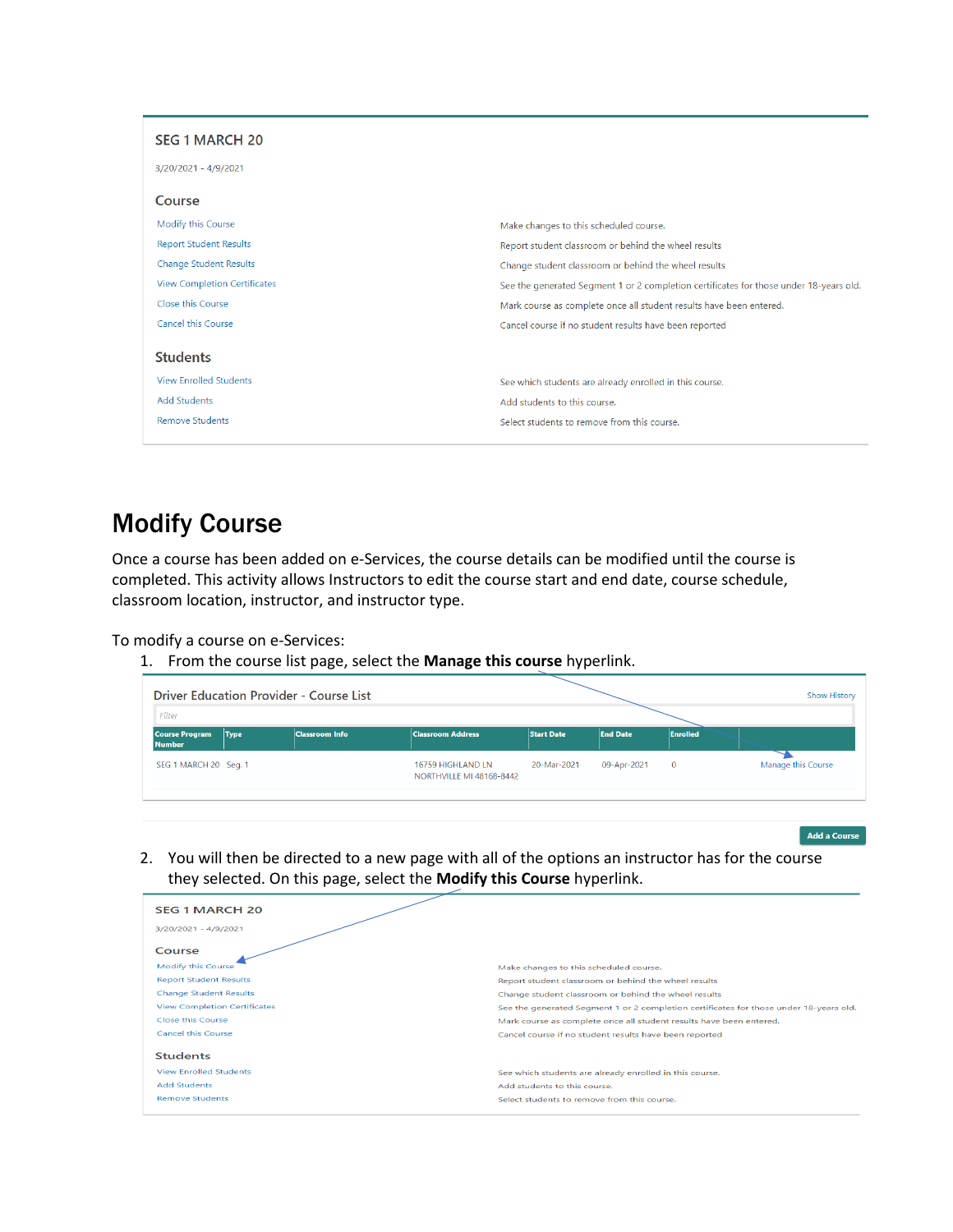| <b>SEG 1 MARCH 20</b>               |                                                                                        |
|-------------------------------------|----------------------------------------------------------------------------------------|
| 3/20/2021 - 4/9/2021                |                                                                                        |
| Course                              |                                                                                        |
| Modify this Course                  | Make changes to this scheduled course.                                                 |
| <b>Report Student Results</b>       | Report student classroom or behind the wheel results                                   |
| <b>Change Student Results</b>       | Change student classroom or behind the wheel results                                   |
| <b>View Completion Certificates</b> | See the generated Segment 1 or 2 completion certificates for those under 18-years old. |
| Close this Course                   | Mark course as complete once all student results have been entered.                    |
| <b>Cancel this Course</b>           | Cancel course if no student results have been reported                                 |
| <b>Students</b>                     |                                                                                        |
| <b>View Enrolled Students</b>       | See which students are already enrolled in this course.                                |
| <b>Add Students</b>                 | Add students to this course.                                                           |
| <b>Remove Students</b>              | Select students to remove from this course.                                            |
|                                     |                                                                                        |

## Modify Course

Once a course has been added on e-Services, the course details can be modified until the course is completed. This activity allows Instructors to edit the course start and end date, course schedule, classroom location, instructor, and instructor type.

To modify a course on e-Services:

1. From the course list page, select the **Manage this course** hyperlink.

|                                        |      | <b>Driver Education Provider - Course List</b> |                                               |                   |                 |                 | <b>Show History</b> |
|----------------------------------------|------|------------------------------------------------|-----------------------------------------------|-------------------|-----------------|-----------------|---------------------|
| Filter                                 |      |                                                |                                               |                   |                 |                 |                     |
| <b>Course Program</b><br><b>Number</b> | Type | <b>Classroom Info</b>                          | <b>Classroom Address</b>                      | <b>Start Date</b> | <b>End Date</b> | <b>Enrolled</b> |                     |
| SEG 1 MARCH 20 Seg. 1                  |      |                                                | 16759 HIGHLAND LN<br>NORTHVILLE MI 48168-8442 | 20-Mar-2021       | 09-Apr-2021     | $\overline{0}$  | Manage this Course  |
|                                        |      |                                                |                                               |                   |                 |                 |                     |

Add a Course

2. You will then be directed to a new page with all of the options an instructor has for the course they selected. On this page, select the **Modify this Course** hyperlink.

| <b>SEG 1 MARCH 20</b>               |                                                                                        |
|-------------------------------------|----------------------------------------------------------------------------------------|
| 3/20/2021 - 4/9/2021                |                                                                                        |
| Course                              |                                                                                        |
| Modify this Course                  | Make changes to this scheduled course.                                                 |
| <b>Report Student Results</b>       | Report student classroom or behind the wheel results                                   |
| <b>Change Student Results</b>       | Change student classroom or behind the wheel results                                   |
| <b>View Completion Certificates</b> | See the generated Segment 1 or 2 completion certificates for those under 18-years old. |
| Close this Course                   | Mark course as complete once all student results have been entered.                    |
| <b>Cancel this Course</b>           | Cancel course if no student results have been reported                                 |
| <b>Students</b>                     |                                                                                        |
| <b>View Enrolled Students</b>       | See which students are already enrolled in this course.                                |
| <b>Add Students</b>                 | Add students to this course.                                                           |
| <b>Remove Students</b>              | Select students to remove from this course.                                            |
|                                     |                                                                                        |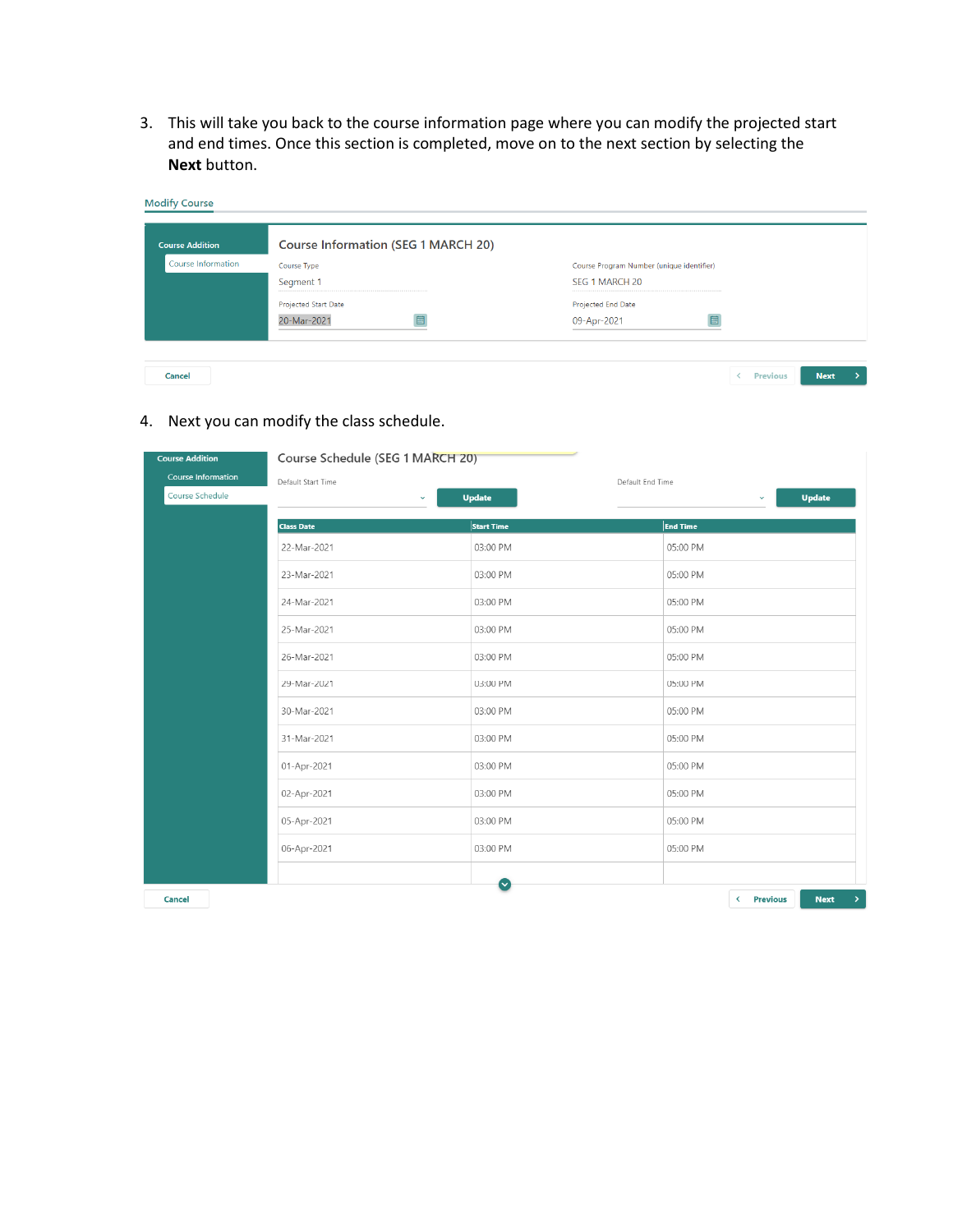3. This will take you back to the course information page where you can modify the projected start and end times. Once this section is completed, move on to the next section by selecting the **Next** button.

| <b>Course Addition</b> | <b>Course Information (SEG 1 MARCH 20)</b> |                                           |  |  |
|------------------------|--------------------------------------------|-------------------------------------------|--|--|
| Course Information     | Course Type                                | Course Program Number (unique identifier) |  |  |
|                        | Segment 1                                  | SEG 1 MARCH 20                            |  |  |
|                        | <b>Projected Start Date</b>                | Projected End Date                        |  |  |
|                        | 20-Mar-2021                                | 09-Apr-2021                               |  |  |

### 4. Next you can modify the class schedule.

| <b>Course Addition</b>    | Course Schedule (SEG 1 MARCH 20) |                   |                                                     |
|---------------------------|----------------------------------|-------------------|-----------------------------------------------------|
| <b>Course Information</b> | Default Start Time               | Default End Time  |                                                     |
| Course Schedule           | $\checkmark$                     | <b>Update</b>     | <b>Update</b><br>$\checkmark$                       |
|                           | <b>Class Date</b>                | <b>Start Time</b> | <b>End Time</b>                                     |
|                           | 22-Mar-2021                      | 03:00 PM          | 05:00 PM                                            |
|                           | 23-Mar-2021                      | 03:00 PM          | 05:00 PM                                            |
|                           | 24-Mar-2021                      | 03:00 PM          | 05:00 PM                                            |
|                           | 25-Mar-2021                      | 03:00 PM          | 05:00 PM                                            |
|                           | 26-Mar-2021                      | 03:00 PM          | 05:00 PM                                            |
|                           | 29-Mar-2021                      | 03:00 PM          | 05:00 PM                                            |
|                           | 30-Mar-2021                      | 03:00 PM          | 05:00 PM                                            |
|                           | 31-Mar-2021                      | 03:00 PM          | 05:00 PM                                            |
|                           | 01-Apr-2021                      | 03:00 PM          | 05:00 PM                                            |
|                           | 02-Apr-2021                      | 03:00 PM          | 05:00 PM                                            |
|                           | 05-Apr-2021                      | 03:00 PM          | 05:00 PM                                            |
|                           | 06-Apr-2021                      | 03:00 PM          | 05:00 PM                                            |
|                           |                                  | $\checkmark$      |                                                     |
| Cancel                    |                                  |                   | < Previous<br>$\left  \right\rangle$<br><b>Next</b> |